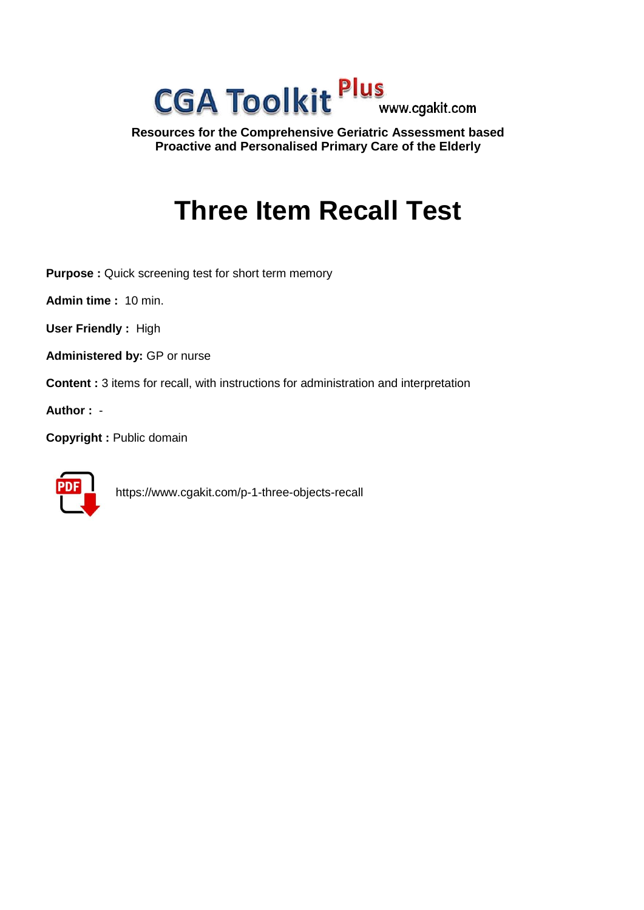

**Resources for the Comprehensive Geriatric Assessment based Proactive and Personalised Primary Care of the Elderly**

# **Three Item Recall Test**

**Purpose :** Quick screening test for short term memory

**Admin time :** 10 min.

**User Friendly :** High

**Administered by:** GP or nurse

**Content :** 3 items for recall, with instructions for administration and interpretation

**Author :** -

**Copyright :** Public domain



https://www.cgakit.com/p-1-three-objects-recall